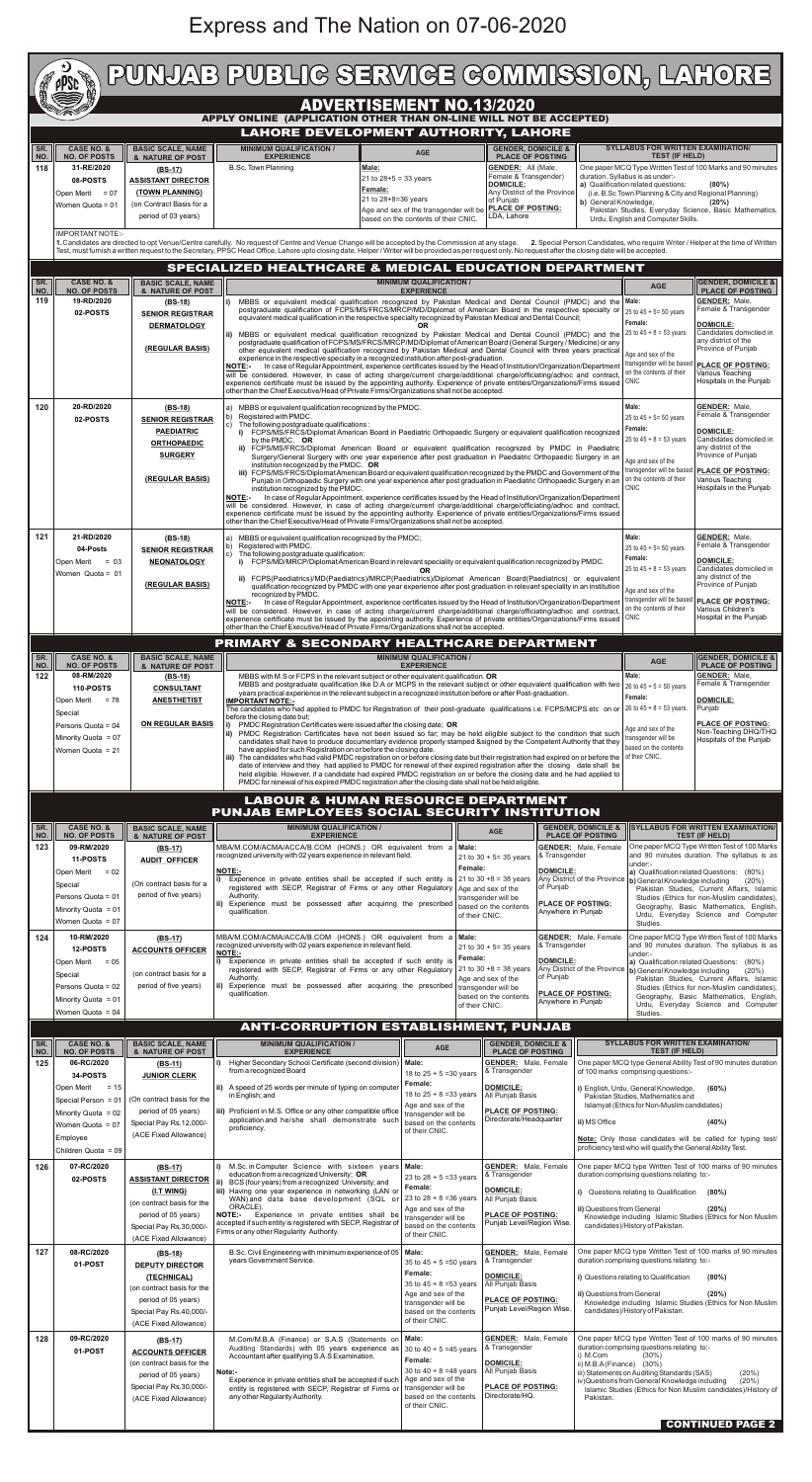## Express and The Nation on 07-06-2020

| PUNJAB PUBLIG SERVIGE GOMMISSION, LAHORE<br><b>CONTROL</b><br><b>apse</b>                                                                                                                                              |                                               |                                                                                                                                                                                                                                                                                                                                                                                    |                                                                                                                                                                                                                                        |                                                    |                       |                                                 |                                                                 |  |  |  |  |  |
|------------------------------------------------------------------------------------------------------------------------------------------------------------------------------------------------------------------------|-----------------------------------------------|------------------------------------------------------------------------------------------------------------------------------------------------------------------------------------------------------------------------------------------------------------------------------------------------------------------------------------------------------------------------------------|----------------------------------------------------------------------------------------------------------------------------------------------------------------------------------------------------------------------------------------|----------------------------------------------------|-----------------------|-------------------------------------------------|-----------------------------------------------------------------|--|--|--|--|--|
| <b>ADVERTISEMENT NO.13/2020</b>                                                                                                                                                                                        |                                               |                                                                                                                                                                                                                                                                                                                                                                                    |                                                                                                                                                                                                                                        |                                                    |                       |                                                 |                                                                 |  |  |  |  |  |
| APPLY ONLINE (APPLICATION OTHER THAN ON-LINE WILL NOT BE ACCEPTED)                                                                                                                                                     |                                               |                                                                                                                                                                                                                                                                                                                                                                                    |                                                                                                                                                                                                                                        |                                                    |                       |                                                 |                                                                 |  |  |  |  |  |
| <b>LAHORE DEVELOPMENT AUTHORITY, LAHORE</b><br><b>SYLLABUS FOR WRITTEN EXAMINATION/</b><br><b>MINIMUM QUALIFICATION /</b><br><b>GENDER, DOMICILE &amp;</b><br>SR.<br><b>CASE NO. &amp;</b><br><b>BASIC SCALE, NAME</b> |                                               |                                                                                                                                                                                                                                                                                                                                                                                    |                                                                                                                                                                                                                                        |                                                    |                       |                                                 |                                                                 |  |  |  |  |  |
| <b>NO. OF POSTS</b><br>NO.                                                                                                                                                                                             | & NATURE OF POST                              | <b>EXPERIENCE</b>                                                                                                                                                                                                                                                                                                                                                                  | <b>AGE</b>                                                                                                                                                                                                                             | <b>PLACE OF POSTING</b>                            |                       | <b>TEST (IF HELD)</b>                           |                                                                 |  |  |  |  |  |
| 31-RE/2020<br>118<br>08-POSTS                                                                                                                                                                                          | $(BS-17)$<br><b>ASSISTANT DIRECTOR</b>        | <b>B.Sc. Town Planning</b>                                                                                                                                                                                                                                                                                                                                                         | <b>Male:</b><br>$21$ to $28+5 = 33$ years                                                                                                                                                                                              | <b>GENDER: All (Male,</b><br>Female & Transgender) |                       | duration. Syllabus is as under:-                | One paper MCQ Type Written Test of 100 Marks and 90 minutes     |  |  |  |  |  |
| Open Merit<br>$= 07$                                                                                                                                                                                                   | (TOWN PLANNING)                               | <b>DOMICILE:</b><br>a) Qualification related questions:<br>(80%)<br>Female:<br>Any District of the Province<br>(i.e. B.Sc Town Planning & City and Regional Planning)                                                                                                                                                                                                              |                                                                                                                                                                                                                                        |                                                    |                       |                                                 |                                                                 |  |  |  |  |  |
| Women Quota = 01                                                                                                                                                                                                       | (on Contract Basis for a                      |                                                                                                                                                                                                                                                                                                                                                                                    | 21 to 28+8=36 years<br>Age and sex of the transgender will be                                                                                                                                                                          | of Punjab<br><b>PLACE OF POSTING:</b>              | b) General Knowledge, |                                                 | (20%)<br>Pakistan Studies, Everyday Science, Basic Mathematics, |  |  |  |  |  |
|                                                                                                                                                                                                                        | period of 03 years)                           |                                                                                                                                                                                                                                                                                                                                                                                    | based on the contents of their CNIC.                                                                                                                                                                                                   | LDA, Lahore                                        |                       | Urdu, English and Computer Skills.              |                                                                 |  |  |  |  |  |
| IMPORTANT NOTE:-                                                                                                                                                                                                       |                                               | 1. Candidates are directed to opt Venue/Centre carefully. No request of Centre and Venue Change will be accepted by the Commission at any stage. 2. Special Person Candidates, who require Writer / Helper at the time of Writ                                                                                                                                                     |                                                                                                                                                                                                                                        |                                                    |                       |                                                 |                                                                 |  |  |  |  |  |
|                                                                                                                                                                                                                        |                                               | Test, must furnish a written request to the Secretary, PPSC Head Office, Lahore upto closing date. Helper / Writer will be provided as per request only. No request after the closing date will be accepted.                                                                                                                                                                       |                                                                                                                                                                                                                                        |                                                    |                       |                                                 |                                                                 |  |  |  |  |  |
| SR.<br><b>CASE NO. &amp;</b>                                                                                                                                                                                           | <b>BASIC SCALE, NAME</b>                      | SPECIALIZED HEALTHCARE & MEDICAL EDUCATION DEPARTMENT                                                                                                                                                                                                                                                                                                                              | <b>MINIMUM QUALIFICATION /</b>                                                                                                                                                                                                         |                                                    |                       |                                                 | <b>GENDER, DOMICILE &amp;</b>                                   |  |  |  |  |  |
| <b>NO. OF POSTS</b><br>NO.<br>19-RD/2020                                                                                                                                                                               | & NATURE OF POST                              |                                                                                                                                                                                                                                                                                                                                                                                    | <b>EXPERIENCE</b>                                                                                                                                                                                                                      |                                                    |                       | <b>AGE</b>                                      | <b>PLACE OF POSTING</b><br><b>GENDER: Male,</b>                 |  |  |  |  |  |
| 119<br>02-POSTS                                                                                                                                                                                                        | (BS-18)<br><b>SENIOR REGISTRAR</b>            | i) MBBS or equivalent medical qualification recognized by Pakistan Medical and Dental Council (PMDC) and the Male:                                                                                                                                                                                                                                                                 | postgraduate qualification of FCPS/MS/FRCS/MRCP/MD/Diplomat of American Board in the respective specialty or                                                                                                                           |                                                    |                       | 25 to $45 + 5 = 50$ years                       | Female & Transgender                                            |  |  |  |  |  |
|                                                                                                                                                                                                                        | <b>DERMATOLOGY</b>                            | ii) MBBS or equivalent medical qualification recognized by Pakistan Medical and Dental Council (PMDC) and the                                                                                                                                                                                                                                                                      | equivalent medical qualification in the respective specialty recognized by Pakistan Medical and Dental Council;<br>OR.                                                                                                                 |                                                    |                       | Female:<br>25 to $45 + 8 = 53$ years            | <b>DOMICILE:</b><br>Candidates domiciled in                     |  |  |  |  |  |
|                                                                                                                                                                                                                        | (REGULAR BASIS)                               |                                                                                                                                                                                                                                                                                                                                                                                    | postgraduate qualification of FCPS/MS/FRCS/MRCP/MD/Diplomat of American Board (General Surgery/Medicine) or any<br>other equivalent medical qualification recognized by Pakistan Medical and Dental Council with three years practical |                                                    |                       |                                                 | any district of the<br>Province of Punjab                       |  |  |  |  |  |
|                                                                                                                                                                                                                        |                                               | <b>NOTE:</b>                                                                                                                                                                                                                                                                                                                                                                       | experience in the respective specialty in a recognized institution after post-graduation.                                                                                                                                              |                                                    |                       | Age and sex of the<br>transgender will be based | <b>PLACE OF POSTING:</b>                                        |  |  |  |  |  |
|                                                                                                                                                                                                                        |                                               | In case of Regular Appointment, experience certificates issued by the Head of Institution/Organization/Department<br>on the contents of their<br>Various Teaching<br>will be considered. However, in case of acting charge/current charge/additional charge/officiating/adhoc and contract,<br>Hospitals in the Punjab<br><b>CNIC</b>                                              |                                                                                                                                                                                                                                        |                                                    |                       |                                                 |                                                                 |  |  |  |  |  |
|                                                                                                                                                                                                                        |                                               | experience certificate must be issued by the appointing authority. Experience of private entities/Organizations/Firms issued<br>other than the Chief Executive/Head of Private Firms/Organizations shall not be accepted.                                                                                                                                                          |                                                                                                                                                                                                                                        |                                                    |                       |                                                 |                                                                 |  |  |  |  |  |
| 20-RD/2020<br>120                                                                                                                                                                                                      | $(BS-18)$                                     | a) MBBS or equivalent qualification recognized by the PMDC.<br>b) Registered with PMDC.                                                                                                                                                                                                                                                                                            | Male:<br>25 to $45 + 5 = 50$ years                                                                                                                                                                                                     | <b>GENDER: Male,</b><br>Female & Transgender       |                       |                                                 |                                                                 |  |  |  |  |  |
| 02-POSTS                                                                                                                                                                                                               | <b>SENIOR REGISTRAR</b><br><b>PAEDIATRIC</b>  | c)<br>The following postgraduate qualifications:<br>Female:<br><b>DOMICILE:</b><br>i) FCPS/MS/FRCS/Diplomat American Board in Paediatric Orthopaedic Surgery or equivalent qualification recognized                                                                                                                                                                                |                                                                                                                                                                                                                                        |                                                    |                       |                                                 |                                                                 |  |  |  |  |  |
|                                                                                                                                                                                                                        | <b>ORTHOPAEDIC</b>                            | 25 to $45 + 8 = 53$ years<br>Candidates domiciled in<br>by the PMDC. OR<br>any district of the<br>ii) FCPS/MS/FRCS/Diplomat American Board or equivalent qualification recognized by PMDC in Paediatric                                                                                                                                                                            |                                                                                                                                                                                                                                        |                                                    |                       |                                                 |                                                                 |  |  |  |  |  |
|                                                                                                                                                                                                                        | <b>SURGERY</b>                                | Province of Punjab<br>Surgery/General Surgery with one year experience after post graduation in Paediatric Orthopaedic Surgery in an<br>Age and sex of the<br>institution recognized by the PMDC. OR<br>transgender will be based                                                                                                                                                  |                                                                                                                                                                                                                                        |                                                    |                       |                                                 |                                                                 |  |  |  |  |  |
|                                                                                                                                                                                                                        | (REGULAR BASIS)                               | <b>PLACE OF POSTING:</b><br>iii) FCPS/MS/FRCS/Diplomat American Board or equivalent qualification recognized by the PMDC and Government of the<br>on the contents of their<br>Various Teaching<br>Punjab in Orthopaedic Surgery with one year experience after post graduation in Paediatric Orthopaedic Surgery in an<br><b>CNIC</b><br>Hospitals in the Punjab                   |                                                                                                                                                                                                                                        |                                                    |                       |                                                 |                                                                 |  |  |  |  |  |
|                                                                                                                                                                                                                        |                                               | institution recognized by the PMDC.<br>NOTE:- In case of Regular Appointment, experience certificates issued by the Head of Institution/Organization/Department                                                                                                                                                                                                                    |                                                                                                                                                                                                                                        |                                                    |                       |                                                 |                                                                 |  |  |  |  |  |
|                                                                                                                                                                                                                        |                                               | will be considered. However, in case of acting charge/current charge/additional charge/officiating/adhoc and contract,<br>experience certificate must be issued by the appointing authority. Experience of private entities/Organizations/Firms issued<br>other than the Chief Executive/Head of Private Firms/Organizations shall not be accepted.                                |                                                                                                                                                                                                                                        |                                                    |                       |                                                 |                                                                 |  |  |  |  |  |
| 21-RD/2020<br>121                                                                                                                                                                                                      | $(BS-18)$                                     | Male:<br><b>GENDER: Male,</b><br>a) MBBS or equivalent qualification recognized by the PMDC;                                                                                                                                                                                                                                                                                       |                                                                                                                                                                                                                                        |                                                    |                       |                                                 |                                                                 |  |  |  |  |  |
| 04-Posts                                                                                                                                                                                                               | <b>SENIOR REGISTRAR</b>                       | b) Registered with PMDC.<br>c)<br>The following postgraduate qualification:                                                                                                                                                                                                                                                                                                        | 25 to $45 + 5 = 50$ years                                                                                                                                                                                                              | Female & Transgender                               |                       |                                                 |                                                                 |  |  |  |  |  |
| Open Merit = 03<br>Women $Quota = 01$                                                                                                                                                                                  | <b>NEONATOLOGY</b>                            | Female:<br><b>DOMICILE:</b><br>i) FCPS/MD/MRCP/Diplomat American Board in relevant speciality or equivalent qualification recognized by PMDC.<br>Candidates domiciled in<br>25 to $45 + 8 = 53$ years<br><b>OR</b>                                                                                                                                                                 |                                                                                                                                                                                                                                        |                                                    |                       |                                                 |                                                                 |  |  |  |  |  |
|                                                                                                                                                                                                                        | (REGULAR BASIS)                               | any district of the<br>ii) FCPS(Paediatrics)/MD(Paediatrics)/MRCP(Paediatrics)/Diplomat American Board(Paediatrics) or equivalent<br>Province of Punjab<br>qualification recognized by PMDC with one year experience after post graduation in relevant speciality in an institution<br>Age and sex of the                                                                          |                                                                                                                                                                                                                                        |                                                    |                       |                                                 |                                                                 |  |  |  |  |  |
|                                                                                                                                                                                                                        |                                               | recognized by PMDC.<br>NOTE:- In case of Regular Appointment, experience certificates issued by the Head of Institution/Organization/Department                                                                                                                                                                                                                                    | transgender will be based<br>on the contents of their                                                                                                                                                                                  | <b>PLACE OF POSTING:</b><br>Various Children's     |                       |                                                 |                                                                 |  |  |  |  |  |
|                                                                                                                                                                                                                        |                                               | will be considered. However, in case of acting charge/current charge/additional charge/officiating/adhoc and contract,<br>Hospital in the Punjab<br>experience certificate must be issued by the appointing authority. Experience of private entities/Organizations/Firms issued CNIC<br>other than the Chief Executive/Head of Private Firms/Organizations shall not be accepted. |                                                                                                                                                                                                                                        |                                                    |                       |                                                 |                                                                 |  |  |  |  |  |
| <b>PRIMARY &amp; SECONDARY HEALTHCARE DEPARTMENT</b>                                                                                                                                                                   |                                               |                                                                                                                                                                                                                                                                                                                                                                                    |                                                                                                                                                                                                                                        |                                                    |                       |                                                 |                                                                 |  |  |  |  |  |
| SR.<br><b>CASE NO. &amp;</b>                                                                                                                                                                                           | <b>BASIC SCALE, NAME</b>                      | <b>GENDER, DOMICILE &amp;</b><br><b>MINIMUM QUALIFICATION /</b><br><b>AGE</b>                                                                                                                                                                                                                                                                                                      |                                                                                                                                                                                                                                        |                                                    |                       |                                                 |                                                                 |  |  |  |  |  |
| <b>NO. OF POSTS</b><br>NO.<br>122<br>08-RM/2020                                                                                                                                                                        | & NATURE OF POST<br>$(BS-18)$                 | <b>EXPERIENCE</b><br><b>PLACE OF POSTING</b><br><b>GENDER: Male,</b><br>Male:<br>MBBS with M.S or FCPS in the relevant subject or other equivalent qualification. OR                                                                                                                                                                                                               |                                                                                                                                                                                                                                        |                                                    |                       |                                                 |                                                                 |  |  |  |  |  |
| 110-POSTS                                                                                                                                                                                                              | <b>CONSULTANT</b>                             | Female & Transgender<br>MBBS and postgraduate qualification like D.A or MCPS in the relevant subject or other equivalent qualification with two $26$ to $45 + 5 = 50$ years<br>years practical experience in the relevant subject in a recognized institution before or after Post-graduation.                                                                                     |                                                                                                                                                                                                                                        |                                                    |                       |                                                 |                                                                 |  |  |  |  |  |
| Open Merit<br>$= 78$<br>Special                                                                                                                                                                                        | <b>ANESTHETIST</b>                            | Female:<br><b>DOMICILE:</b><br><b>IMPORTANT NOTE:-</b><br>The candidates who had applied to PMDC for Registration of their post-graduate qualifications i.e. FCPS/MCPS etc on or $26$ to $45 + 8 = 53$ years.<br>Punjab                                                                                                                                                            |                                                                                                                                                                                                                                        |                                                    |                       |                                                 |                                                                 |  |  |  |  |  |
| Persons Quota = 04                                                                                                                                                                                                     | <b>ON REGULAR BASIS</b>                       | before the closing date but;<br><b>PLACE OF POSTING:</b><br>PMDC Registration Certificates were issued after the closing date; OR<br>Age and sex of the                                                                                                                                                                                                                            |                                                                                                                                                                                                                                        |                                                    |                       |                                                 |                                                                 |  |  |  |  |  |
| Minority Quota = 07                                                                                                                                                                                                    |                                               | Non-Teaching DHQ/THQ<br>ii) PMDC Registration Certificates have not been issued so far; may be held eligible subject to the condition that such<br>transgender will be<br>Hospitals of the Punjab<br>candidates shall have to produce documentary evidence properly stamped &signed by the Competent Authority that they                                                           |                                                                                                                                                                                                                                        |                                                    |                       |                                                 |                                                                 |  |  |  |  |  |
| Women Quota = 21                                                                                                                                                                                                       |                                               | based on the contents<br>have applied for such Registration on or before the closing date.<br>of their CNIC.<br>iii) The candidates who had valid PMDC registration on or before closing date but their registration had expired on or before the                                                                                                                                  |                                                                                                                                                                                                                                        |                                                    |                       |                                                 |                                                                 |  |  |  |  |  |
|                                                                                                                                                                                                                        |                                               | date of interview and they had applied to PMDC for renewal of their expired registration after the closing date shall be<br>held eligible. However, if a candidate had expired PMDC registration on or before the closing date and he had applied to<br>PMDC for renewal of his expired PMDC registration after the closing date shall not be held eligible.                       |                                                                                                                                                                                                                                        |                                                    |                       |                                                 |                                                                 |  |  |  |  |  |
|                                                                                                                                                                                                                        | <b>LABOUR &amp; HUMAN RESOURCE DEPARTMENT</b> |                                                                                                                                                                                                                                                                                                                                                                                    |                                                                                                                                                                                                                                        |                                                    |                       |                                                 |                                                                 |  |  |  |  |  |

|            | PUNJAB EMPLOYEES SOCIAL SECURITY INSTITUTION                                                                                                        |                                                                                                                                                               |                                                                                                                                                                                                                                                                                                                                                                                                                                                  |                                                                                                                                                                    |                                                                                                                                             |                                                                                                                                               |                                                                                                                                 |                                                                                                                                                                                                                                                                                                                                                                                                    |                                                                                                                                                                                                                                                                                                                                                                                                                       |  |
|------------|-----------------------------------------------------------------------------------------------------------------------------------------------------|---------------------------------------------------------------------------------------------------------------------------------------------------------------|--------------------------------------------------------------------------------------------------------------------------------------------------------------------------------------------------------------------------------------------------------------------------------------------------------------------------------------------------------------------------------------------------------------------------------------------------|--------------------------------------------------------------------------------------------------------------------------------------------------------------------|---------------------------------------------------------------------------------------------------------------------------------------------|-----------------------------------------------------------------------------------------------------------------------------------------------|---------------------------------------------------------------------------------------------------------------------------------|----------------------------------------------------------------------------------------------------------------------------------------------------------------------------------------------------------------------------------------------------------------------------------------------------------------------------------------------------------------------------------------------------|-----------------------------------------------------------------------------------------------------------------------------------------------------------------------------------------------------------------------------------------------------------------------------------------------------------------------------------------------------------------------------------------------------------------------|--|
| SR.<br>NO. | <b>CASE NO. &amp;</b><br><b>NO. OF POSTS</b>                                                                                                        | <b>BASIC SCALE, NAME</b><br>& NATURE OF POST                                                                                                                  | <b>MINIMUM QUALIFICATION /</b><br><b>EXPERIENCE</b>                                                                                                                                                                                                                                                                                                                                                                                              |                                                                                                                                                                    |                                                                                                                                             | <b>AGE</b>                                                                                                                                    | <b>GENDER, DOMICILE &amp;</b><br><b>PLACE OF POSTING</b>                                                                        |                                                                                                                                                                                                                                                                                                                                                                                                    | <b>SYLLABUS FOR WRITTEN EXAMINATION/</b><br><b>TEST (IF HELD)</b>                                                                                                                                                                                                                                                                                                                                                     |  |
| 123        | 09-RM/2020<br>11-POSTS<br>$= 02$<br>Open Merit<br>Special<br>Persons Quota = 01<br>Minority Quota = 01<br>Women Quota = 07                          | $(BS-17)$<br><b>AUDIT OFFICER</b><br>(On contract basis for a<br>period of five years)                                                                        | MBA/M.COM/ACMA/ACCA/B.COM (HONS.) OR equivalent from a<br>recognized university with 02 years experience in relevant field.<br><b>NOTE:-</b><br>Experience in private entities shall be accepted if such entity is<br>registered with SECP, Registrar of Firms or any other Regulatory<br>Authority.<br>ii) Experience must be possessed after acquiring the prescribed<br>qualification.                                                        |                                                                                                                                                                    | Male:<br>Female:<br>of their CNIC.                                                                                                          | 21 to $30 + 5 = 35$ years<br>21 to $30 + 8 = 38$ years<br>Age and sex of the<br>transgender will be<br>based on the contents                  | <b>GENDER:</b> Male, Female<br>& Transgender<br><b>DOMICILE:</b><br>of Punjab<br><b>PLACE OF POSTING:</b><br>Anywhere in Punjab |                                                                                                                                                                                                                                                                                                                                                                                                    | One paper MCQ Type Written Test of 100 Marks<br>and 90 minutes duration. The syllabus is as<br>under:-<br>a) Qualification related Questions: (80%)<br>Any District of the Province b) General Knowledge including<br>(20%)<br>Pakistan Studies, Current Affairs, Islamic<br>Studies (Ethics for non-Muslim candidates),<br>Geography, Basic Mathematics, English,<br>Urdu, Everyday Science and Computer<br>Studies. |  |
| 124        | 10-RM/2020<br><b>12-POSTS</b><br><b>Open Merit</b><br>$= 0.5$<br>Special<br>Persons Quota = 02<br>Minority Quota = 01<br>Women Quota = $04$         | $(BS-17)$<br><b>ACCOUNTS OFFICER</b><br>(on contract basis for a<br>period of five years)                                                                     | MBA/M.COM/ACMA/ACCA/B.COM (HONS.) OR equivalent from a<br>recognized university with 02 years experience in relevant field.<br><b>NOTE:-</b><br>Experience in private entities shall be accepted if such entity is<br>registered with SECP, Registrar of Firms or any other Regulatory<br>Authority.<br>ii) Experience must be possessed after acquiring the prescribed<br>qualification.                                                        |                                                                                                                                                                    | Male:<br>Female:<br>of their CNIC.                                                                                                          | 21 to $30 + 5 = 35$ years<br>21 to 30 $+8 = 38$ years<br>Age and sex of the<br>transgender will be<br>based on the contents                   | <b>GENDER:</b> Male, Female<br>& Transgender<br><b>DOMICILE:</b><br>of Punjab<br><b>PLACE OF POSTING:</b><br>Anywhere in Punjab |                                                                                                                                                                                                                                                                                                                                                                                                    | One paper MCQ Type Written Test of 100 Marks<br>and 90 minutes duration. The syllabus is as<br>under:-<br>a) Qualification related Questions: (80%)<br>Any District of the Province b) General Knowledge including<br>(20%)<br>Pakistan Studies, Current Affairs, Islamic<br>Studies (Ethics for non-Muslim candidates),<br>Geography, Basic Mathematics, English,<br>Urdu, Everyday Science and Computer<br>Studies. |  |
|            |                                                                                                                                                     |                                                                                                                                                               | <b>ANTI-CORRUPTION ESTABLISHMENT, PUNJAB</b>                                                                                                                                                                                                                                                                                                                                                                                                     |                                                                                                                                                                    |                                                                                                                                             |                                                                                                                                               |                                                                                                                                 |                                                                                                                                                                                                                                                                                                                                                                                                    |                                                                                                                                                                                                                                                                                                                                                                                                                       |  |
| SR.<br>NO. | <b>CASE NO. &amp;</b><br><b>NO. OF POSTS</b>                                                                                                        | <b>BASIC SCALE, NAME</b><br>& NATURE OF POST                                                                                                                  | <b>MINIMUM QUALIFICATION /</b><br><b>EXPERIENCE</b>                                                                                                                                                                                                                                                                                                                                                                                              | <b>AGE</b>                                                                                                                                                         | <b>GENDER, DOMICILE &amp;</b><br><b>PLACE OF POSTING</b>                                                                                    |                                                                                                                                               |                                                                                                                                 | <b>SYLLABUS FOR WRITTEN EXAMINATION/</b><br><b>TEST (IF HELD)</b>                                                                                                                                                                                                                                                                                                                                  |                                                                                                                                                                                                                                                                                                                                                                                                                       |  |
| 125        | 06-RC/2020<br>34-POSTS<br>Open Merit<br>$= 15$<br>Special Person = 01<br>Minority Quota = 02<br>Women Quota = 07<br>Employee<br>Children Quota = 09 | $(BS-11)$<br><b>JUNIOR CLERK</b><br>(On contract basis for the<br>period of 05 years)<br>Special Pay Rs.12,000/-<br>(ACE Fixed Allowance)                     | Higher Secondary School Certificate (second division)<br>from a recognized Board<br>ii) A speed of 25 words per minute of typing on computer<br>in English; and<br>iii) Proficient in M.S. Office or any other compatible office<br>application and he/she shall demonstrate such<br>proficiency.                                                                                                                                                | Male:<br>18 to $25 + 5 = 30$ years<br>Female:<br>18 to $25 + 8 = 33$ years<br>Age and sex of the<br>transgender will be<br>based on the contents<br>of their CNIC. | <b>GENDER:</b> Male, Female<br>& Transgender<br><b>DOMICILE:</b><br>All Punjab Basis<br><b>PLACE OF POSTING:</b><br>Directorate/Headquarter |                                                                                                                                               |                                                                                                                                 | One paper MCQ type General Ability Test of 90 minutes duration<br>of 100 marks comprising questions:-<br>i) English, Urdu, General Knowledge,<br>(60%)<br>Pakistan Studies, Mathematics and<br>Islamyat (Ethics for Non-Muslim candidates)<br>ii) MS Office<br>(40%)<br>Note: Only those candidates will be called for typing test/<br>proficiency test who will qualify the General Ability Test. |                                                                                                                                                                                                                                                                                                                                                                                                                       |  |
| 126        | 07-RC/2020<br>02-POSTS                                                                                                                              | $(BS-17)$<br><b>ASSISTANT DIRECTOR</b><br>(I.T WING)<br>(on contract basis for the<br>period of 05 years)<br>Special Pay Rs.30,000/-<br>(ACE Fixed Allowance) | M.Sc. in Computer Science with sixteen years   Male:<br>education from a recognized University; OR<br>BCS (four years) from a recognized University; and<br>ii)<br>iii) Having one year experience in networking (LAN or<br>WAN) and data base development (SQL or<br>ORACLE).<br>NOTE:-<br>Experience in private entities shall be<br>accepted if such entity is registered with SECP, Registrar of<br>Firms or any other Regularity Authority. | 23 to $28 + 5 = 33$ years<br>Female:<br>23 to $28 + 8 = 36$ years<br>Age and sex of the<br>transgender will be<br>based on the contents<br>of their CNIC.          |                                                                                                                                             | <b>GENDER:</b> Male, Female<br>& Transgender<br><b>DOMICILE:</b><br>All Punjab Basis<br><b>PLACE OF POSTING:</b><br>Punjab Level/Region Wise. |                                                                                                                                 | <b>ii)</b> Questions from General                                                                                                                                                                                                                                                                                                                                                                  | One paper MCQ type Written Test of 100 marks of 90 minutes<br>duration comprising questions relating to:-<br>i) Questions relating to Qualification<br>(80%)<br>(20%)<br>Knowledge including Islamic Studies (Ethics for Non Muslim<br>candidates)/History of Pakistan.                                                                                                                                               |  |
| 127        | 08-RC/2020<br>01-POST                                                                                                                               | (BS-18)<br><b>DEPUTY DIRECTOR</b><br>(TECHNICAL)<br>(on contract basis for the<br>period of 05 years)<br>Special Pay Rs.40,000/-<br>(ACE Fixed Allowance)     | B.Sc. Civil Engineering with minimum experience of 05<br>years Government Service.                                                                                                                                                                                                                                                                                                                                                               | Male:<br>35 to $45 + 5 = 50$ years<br>Female:<br>35 to $45 + 8 = 53$ years<br>Age and sex of the<br>transgender will be<br>based on the contents<br>of their CNIC. |                                                                                                                                             | & Transgender<br><b>DOMICILE:</b><br>All Punjab Basis<br><b>PLACE OF POSTING:</b>                                                             | <b>GENDER:</b> Male, Female<br>ii) Questions from General<br>Punjab Level/Region Wise.                                          |                                                                                                                                                                                                                                                                                                                                                                                                    | One paper MCQ type Written Test of 100 marks of 90 minutes<br>duration comprising questions relating to:-<br>i) Questions relating to Qualification<br>(80%)<br>(20%)<br>Knowledge including Islamic Studies (Ethics for Non Muslim<br>candidates)/History of Pakistan.                                                                                                                                               |  |
| 128        | 09-RC/2020<br>01-POST                                                                                                                               | $(BS-17)$<br><b>ACCOUNTS OFFICER</b><br>(on contract basis for the<br>period of 05 years)<br>Special Pay Rs.30,000/-<br>(ACE Fixed Allowance)                 | M.Com/M.B.A (Finance) or S.A.S (Statements on<br>Auditing Standards) with 05 years experience as<br>Accountant after qualifying S.A.S Examination.<br>Note:-<br>Experience in private entities shall be accepted if such   Age and sex of the<br>entity is registered with SECP, Registrar of Firms or<br>any other Regularity Authority.                                                                                                        | Male:<br>30 to $40 + 5 = 45$ years<br>Female:<br>30 to $40 + 8 = 48$ years<br>transgender will be<br>based on the contents<br>of their CNIC.                       |                                                                                                                                             | <b>GENDER:</b> Male, Female<br>& Transgender<br><b>DOMICILE:</b><br>All Punjab Basis<br><b>PLACE OF POSTING:</b><br>Directorate/HQ.           |                                                                                                                                 | i) M.Com<br>ii) $M.B.A(Finance)$ (30%)<br>Pakistan.                                                                                                                                                                                                                                                                                                                                                | One paper MCQ type Written Test of 100 marks of 90 minutes<br>duration comprising questions relating to:-<br>$(30\%)$<br>iii) Statements on Auditing Standards (SAS)<br>(20%)<br>(20%)<br>iv)Questions from General Knowledge including<br>Islamic Studies (Ethics for Non Muslim candidates)/History of<br><b>CONTINUED PAGE 2</b>                                                                                   |  |